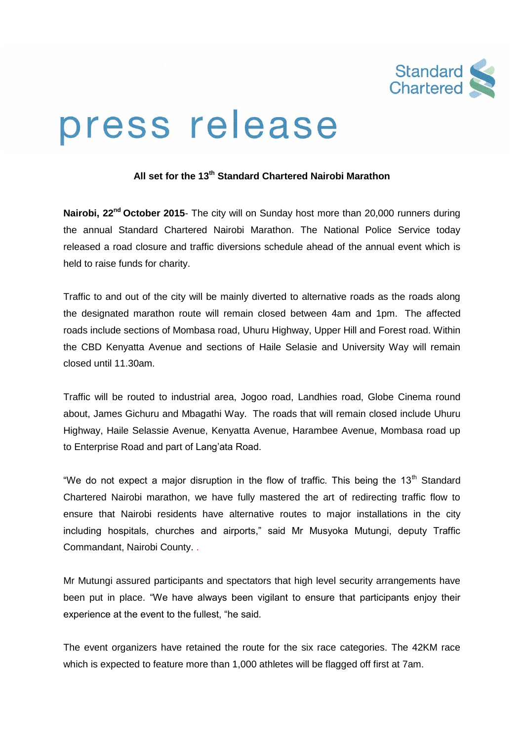

## press release

## **All set for the 13th Standard Chartered Nairobi Marathon**

**Nairobi, 22nd October 2015**- The city will on Sunday host more than 20,000 runners during the annual Standard Chartered Nairobi Marathon. The National Police Service today released a road closure and traffic diversions schedule ahead of the annual event which is held to raise funds for charity.

Traffic to and out of the city will be mainly diverted to alternative roads as the roads along the designated marathon route will remain closed between 4am and 1pm. The affected roads include sections of Mombasa road, Uhuru Highway, Upper Hill and Forest road. Within the CBD Kenyatta Avenue and sections of Haile Selasie and University Way will remain closed until 11.30am.

Traffic will be routed to industrial area, Jogoo road, Landhies road, Globe Cinema round about, James Gichuru and Mbagathi Way. The roads that will remain closed include Uhuru Highway, Haile Selassie Avenue, Kenyatta Avenue, Harambee Avenue, Mombasa road up to Enterprise Road and part of Lang'ata Road.

"We do not expect a major disruption in the flow of traffic. This being the  $13<sup>th</sup>$  Standard Chartered Nairobi marathon, we have fully mastered the art of redirecting traffic flow to ensure that Nairobi residents have alternative routes to major installations in the city including hospitals, churches and airports," said Mr Musyoka Mutungi, deputy Traffic Commandant, Nairobi County. .

Mr Mutungi assured participants and spectators that high level security arrangements have been put in place. "We have always been vigilant to ensure that participants enjoy their experience at the event to the fullest, "he said.

The event organizers have retained the route for the six race categories. The 42KM race which is expected to feature more than 1,000 athletes will be flagged off first at 7am.